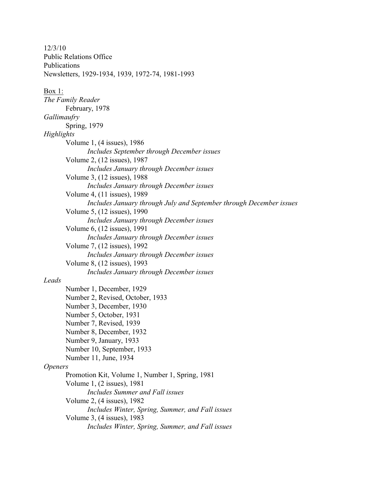12/3/10 Public Relations Office Publications Newsletters, 1929-1934, 1939, 1972-74, 1981-1993 Box 1: *The Family Reader* February, 1978 *Gallimaufry* Spring, 1979 *Highlights* Volume 1, (4 issues), 1986 *Includes September through December issues* Volume 2, (12 issues), 1987 *Includes January through December issues* Volume 3, (12 issues), 1988 *Includes January through December issues* Volume 4, (11 issues), 1989 *Includes January through July and September through December issues* Volume 5, (12 issues), 1990 *Includes January through December issues* Volume 6, (12 issues), 1991 *Includes January through December issues* Volume 7, (12 issues), 1992 *Includes January through December issues* Volume 8, (12 issues), 1993 *Includes January through December issues Leads* Number 1, December, 1929 Number 2, Revised, October, 1933 Number 3, December, 1930 Number 5, October, 1931 Number 7, Revised, 1939 Number 8, December, 1932 Number 9, January, 1933 Number 10, September, 1933 Number 11, June, 1934 *Openers* Promotion Kit, Volume 1, Number 1, Spring, 1981 Volume 1, (2 issues), 1981 *Includes Summer and Fall issues* Volume 2, (4 issues), 1982 *Includes Winter, Spring, Summer, and Fall issues* Volume 3, (4 issues), 1983 *Includes Winter, Spring, Summer, and Fall issues*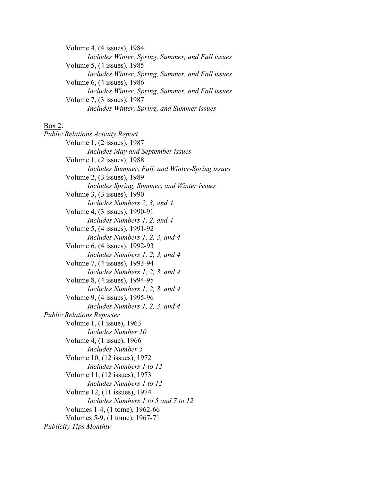Volume 4, (4 issues), 1984 *Includes Winter, Spring, Summer, and Fall issues* Volume 5, (4 issues), 1985 *Includes Winter, Spring, Summer, and Fall issues* Volume 6, (4 issues), 1986 *Includes Winter, Spring, Summer, and Fall issues* Volume 7, (3 issues), 1987 *Includes Winter, Spring, and Summer issues*

## Box 2:

*Public Relations Activity Report* Volume 1, (2 issues), 1987 *Includes May and September issues* Volume 1, (2 issues), 1988 *Includes Summer, Fall, and Winter-Spring issues* Volume 2, (3 issues), 1989 *Includes Spring, Summer, and Winter issues* Volume 3, (3 issues), 1990 *Includes Numbers 2, 3, and 4* Volume 4, (3 issues), 1990-91 *Includes Numbers 1, 2, and 4* Volume 5, (4 issues), 1991-92 *Includes Numbers 1, 2, 3, and 4* Volume 6, (4 issues), 1992-93 *Includes Numbers 1, 2, 3, and 4* Volume 7, (4 issues), 1993-94 *Includes Numbers 1, 2, 3, and 4* Volume 8, (4 issues), 1994-95 *Includes Numbers 1, 2, 3, and 4* Volume 9, (4 issues), 1995-96 *Includes Numbers 1, 2, 3, and 4 Public Relations Reporter* Volume 1, (1 issue), 1963 *Includes Number 10* Volume 4, (1 issue), 1966 *Includes Number 5* Volume 10, (12 issues), 1972 *Includes Numbers 1 to 12* Volume 11, (12 issues), 1973 *Includes Numbers 1 to 12* Volume 12, (11 issues), 1974 *Includes Numbers 1 to 5 and 7 to 12* Volumes 1-4, (1 tome), 1962-66 Volumes 5-9, (1 tome), 1967-71 *Publicity Tips Monthly*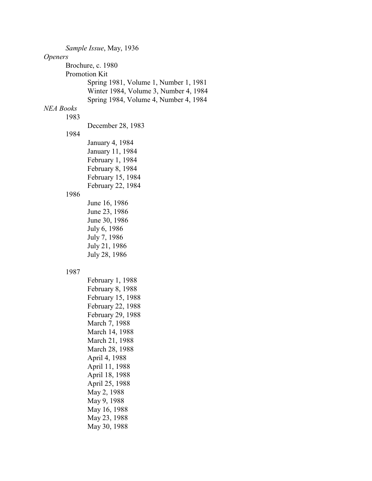*Sample Issue*, May, 1936 *Openers* Brochure, c. 1980 Promotion Kit Spring 1981, Volume 1, Number 1, 1981 Winter 1984, Volume 3, Number 4, 1984 Spring 1984, Volume 4, Number 4, 1984 *NEA Books* 1983 December 28, 1983 1984 January 4, 1984 January 11, 1984 February 1, 1984 February 8, 1984 February 15, 1984 February 22, 1984 1986 June 16, 1986 June 23, 1986 June 30, 1986 July 6, 1986 July 7, 1986 July 21, 1986 July 28, 1986 1987 February 1, 1988 February 8, 1988 February 15, 1988 February 22, 1988 February 29, 1988 March 7, 1988 March 14, 1988 March 21, 1988 March 28, 1988 April 4, 1988 April 11, 1988 April 18, 1988 April 25, 1988 May 2, 1988 May 9, 1988 May 16, 1988 May 23, 1988 May 30, 1988